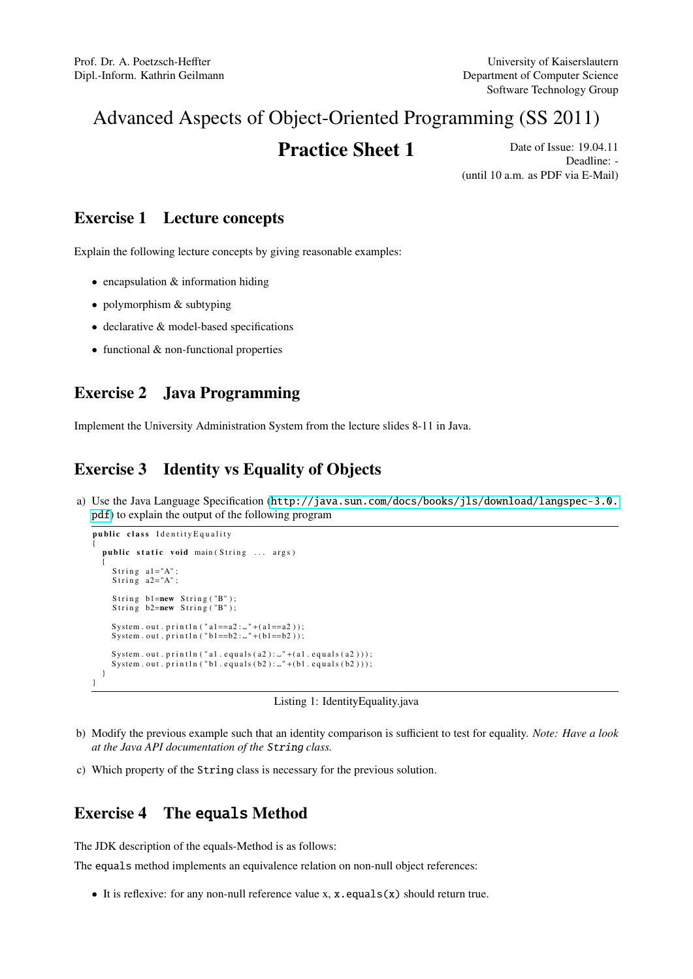# Advanced Aspects of Object-Oriented Programming (SS 2011)

**Practice Sheet 1** Date of Issue: 19.04.11 Deadline: - (until 10 a.m. as PDF via E-Mail)

#### Exercise 1 Lecture concepts

Explain the following lecture concepts by giving reasonable examples:

- $\bullet$  encapsulation  $\&$  information hiding
- polymorphism & subtyping
- declarative & model-based specifications
- functional & non-functional properties

### Exercise 2 Java Programming

Implement the University Administration System from the lecture slides 8-11 in Java.

## Exercise 3 Identity vs Equality of Objects

a) Use the Java Language Specification ([http://java.sun.com/docs/books/jls/download/langspec-3.0.](http://java.sun.com/docs/books/jls/download/langspec-3.0.pdf) [pdf](http://java.sun.com/docs/books/jls/download/langspec-3.0.pdf)) to explain the output of the following program

```
public class Identity Equality
{
   public static void main (String ... args)
   {
      String a1="A" ;String a2 = "A";
      String b1=new String ("B");
      String b2=new String ("B");
       System . out . println ("al==a2 :  _" +(al==a2 ));<br>System . out . println ("bl==b2 :  _" +(bl==b2 ));
       System . out . println ( "al . equals (a2 ) : .. " +(al . equals (a2 )) ) ;<br>System . out . println ( "bl . equals (b2 ) : .. " +(bl . equals (b2 ) ) ) ;
   }
}
```


- b) Modify the previous example such that an identity comparison is sufficient to test for equality. *Note: Have a look at the Java API documentation of the* String *class.*
- c) Which property of the String class is necessary for the previous solution.

#### Exercise 4 The equals Method

The JDK description of the equals-Method is as follows:

The equals method implements an equivalence relation on non-null object references:

• It is reflexive: for any non-null reference value x, x.equals(x) should return true.